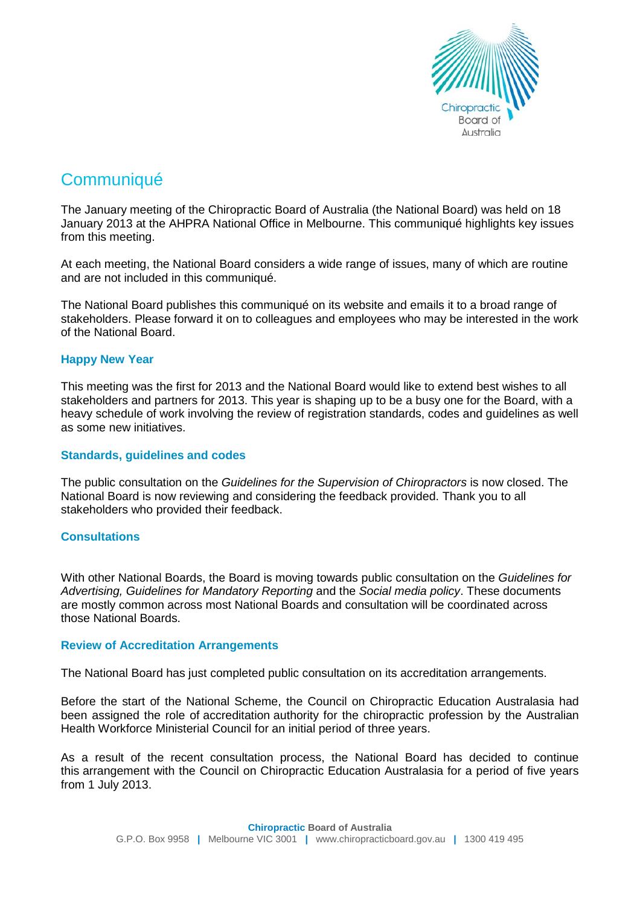

# **Communiqué**

The January meeting of the Chiropractic Board of Australia (the National Board) was held on 18 January 2013 at the AHPRA National Office in Melbourne. This communiqué highlights key issues from this meeting.

At each meeting, the National Board considers a wide range of issues, many of which are routine and are not included in this communiqué.

The National Board publishes this communiqué on its website and emails it to a broad range of stakeholders. Please forward it on to colleagues and employees who may be interested in the work of the National Board.

## **Happy New Year**

This meeting was the first for 2013 and the National Board would like to extend best wishes to all stakeholders and partners for 2013. This year is shaping up to be a busy one for the Board, with a heavy schedule of work involving the review of registration standards, codes and guidelines as well as some new initiatives.

## **Standards, guidelines and codes**

The public consultation on the *Guidelines for the Supervision of Chiropractors* is now closed. The National Board is now reviewing and considering the feedback provided. Thank you to all stakeholders who provided their feedback.

## **Consultations**

With other National Boards, the Board is moving towards public consultation on the *Guidelines for Advertising, Guidelines for Mandatory Reporting* and the *Social media policy*. These documents are mostly common across most National Boards and consultation will be coordinated across those National Boards.

## **Review of Accreditation Arrangements**

The National Board has just completed public consultation on its accreditation arrangements.

Before the start of the National Scheme, the Council on Chiropractic Education Australasia had been assigned the role of accreditation authority for the chiropractic profession by the Australian Health Workforce Ministerial Council for an initial period of three years.

As a result of the recent consultation process, the National Board has decided to continue this arrangement with the Council on Chiropractic Education Australasia for a period of five years from 1 July 2013.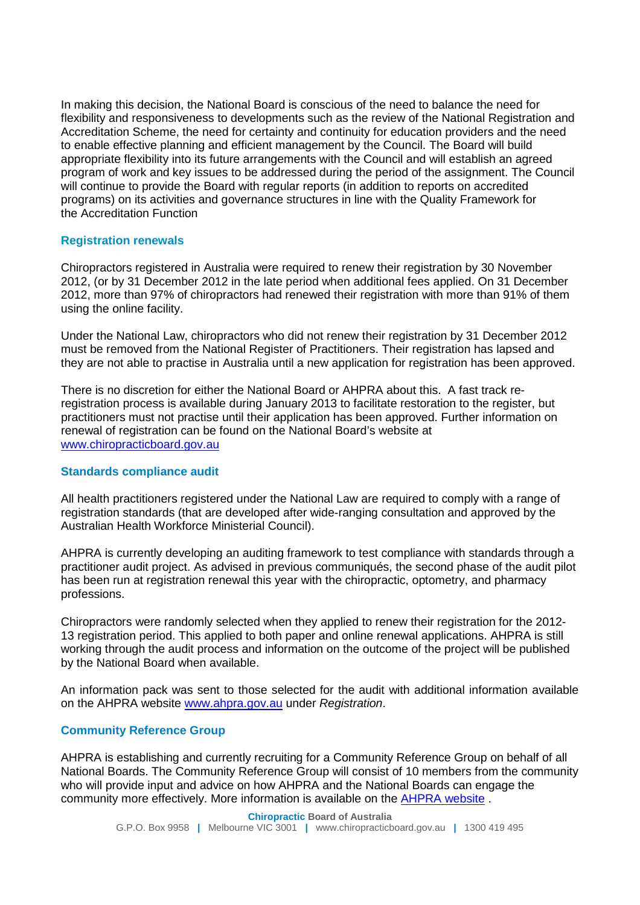In making this decision, the National Board is conscious of the need to balance the need for flexibility and responsiveness to developments such as the review of the National Registration and Accreditation Scheme, the need for certainty and continuity for education providers and the need to enable effective planning and efficient management by the Council. The Board will build appropriate flexibility into its future arrangements with the Council and will establish an agreed program of work and key issues to be addressed during the period of the assignment. The Council will continue to provide the Board with regular reports (in addition to reports on accredited programs) on its activities and governance structures in line with the Quality Framework for the Accreditation Function

## **Registration renewals**

Chiropractors registered in Australia were required to renew their registration by 30 November 2012, (or by 31 December 2012 in the late period when additional fees applied. On 31 December 2012, more than 97% of chiropractors had renewed their registration with more than 91% of them using the online facility.

Under the National Law, chiropractors who did not renew their registration by 31 December 2012 must be removed from the National Register of Practitioners. Their registration has lapsed and they are not able to practise in Australia until a new application for registration has been approved.

There is no discretion for either the National Board or AHPRA about this. A fast track reregistration process is available during January 2013 to facilitate restoration to the register, but practitioners must not practise until their application has been approved. Further information on renewal of registration can be found on the National Board's website at [www.chiropracticboard.gov.au](http://www.chiropracticboard.gov.au/)

## **Standards compliance audit**

All health practitioners registered under the National Law are required to comply with a range of registration standards (that are developed after wide-ranging consultation and approved by the Australian Health Workforce Ministerial Council).

AHPRA is currently developing an auditing framework to test compliance with standards through a practitioner audit project. As advised in previous communiqués, the second phase of the audit pilot has been run at registration renewal this year with the chiropractic, optometry, and pharmacy professions.

Chiropractors were randomly selected when they applied to renew their registration for the 2012- 13 registration period. This applied to both paper and online renewal applications. AHPRA is still working through the audit process and information on the outcome of the project will be published by the National Board when available.

An information pack was sent to those selected for the audit with additional information available on the AHPRA website [www.ahpra.gov.au](https://webmail.ahpra.gov.au/owa/redir.aspx?C=5d1668368ade42c5a953687131b196b6&URL=http%3a%2f%2fwww.ahpra.gov.au%2f) under *Registration*.

## **Community Reference Group**

AHPRA is establishing and currently recruiting for a Community Reference Group on behalf of all National Boards. The Community Reference Group will consist of 10 members from the community who will provide input and advice on how AHPRA and the National Boards can engage the community more effectively. More information is available on the [AHPRA website](http://www.ahpra.gov.au/News/Media-Releases/2013-01-10.aspx) .